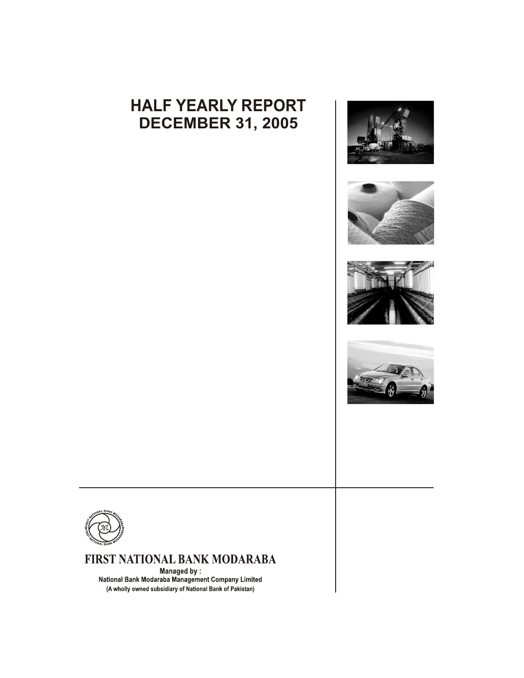# **HALF YEARLY REPORT DECEMBER 31, 2005**











## FIRST NATIONAL BANK MODARABA

Managed by: National Bank Modaraba Management Company Limited (A wholly owned subsidiary of National Bank of Pakistan)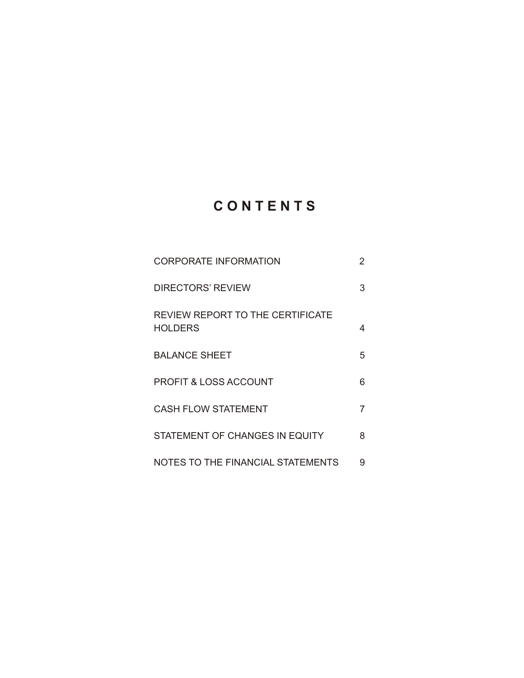## **C O N T E N T S**

| <b>CORPORATE INFORMATION</b>                              | 2 |
|-----------------------------------------------------------|---|
| DIRECTORS' REVIEW                                         | 3 |
| <b>REVIEW REPORT TO THE CERTIFICATE</b><br><b>HOLDERS</b> | 4 |
| <b>BALANCE SHEET</b>                                      | 5 |
| <b>PROFIT &amp; LOSS ACCOUNT</b>                          | 6 |
| <b>CASH FLOW STATEMENT</b>                                | 7 |
| STATEMENT OF CHANGES IN EQUITY                            | 8 |
| NOTES TO THE FINANCIAL STATEMENTS                         | 9 |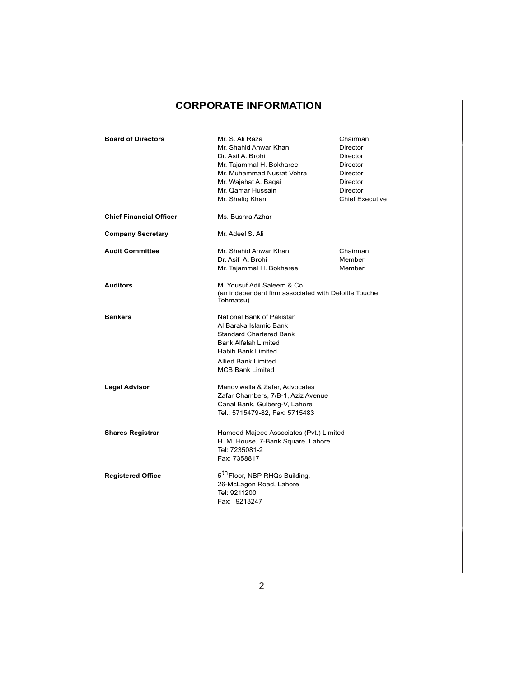## **CORPORATE INFORMATION**

| <b>Board of Directors</b><br><b>Chief Financial Officer</b> | Mr. S. Ali Raza<br>Mr. Shahid Anwar Khan<br>Dr. Asif A. Brohi<br>Mr. Tajammal H. Bokharee<br>Mr. Muhammad Nusrat Vohra<br>Mr. Wajahat A. Bagai<br>Mr. Qamar Hussain<br>Mr. Shafiq Khan<br>Ms. Bushra Azhar | Chairman<br><b>Director</b><br>Director<br><b>Director</b><br>Director<br>Director<br>Director<br><b>Chief Executive</b> |
|-------------------------------------------------------------|------------------------------------------------------------------------------------------------------------------------------------------------------------------------------------------------------------|--------------------------------------------------------------------------------------------------------------------------|
|                                                             | Mr. Adeel S. Ali                                                                                                                                                                                           |                                                                                                                          |
| <b>Company Secretary</b>                                    |                                                                                                                                                                                                            |                                                                                                                          |
| <b>Audit Committee</b>                                      | Mr. Shahid Anwar Khan<br>Dr. Asif A. Brohi<br>Mr. Tajammal H. Bokharee                                                                                                                                     | Chairman<br>Member<br>Member                                                                                             |
| <b>Auditors</b>                                             | M. Yousuf Adil Saleem & Co.<br>(an independent firm associated with Deloitte Touche<br>Tohmatsu)                                                                                                           |                                                                                                                          |
| <b>Bankers</b>                                              | National Bank of Pakistan<br>Al Baraka Islamic Bank<br><b>Standard Chartered Bank</b><br><b>Bank Alfalah Limited</b><br><b>Habib Bank Limited</b><br><b>Allied Bank Limited</b><br><b>MCB Bank Limited</b> |                                                                                                                          |
| <b>Legal Advisor</b>                                        | Mandviwalla & Zafar, Advocates<br>Zafar Chambers, 7/B-1, Aziz Avenue<br>Canal Bank, Gulberg-V, Lahore<br>Tel.: 5715479-82, Fax: 5715483                                                                    |                                                                                                                          |
| <b>Shares Registrar</b>                                     | Hameed Majeed Associates (Pvt.) Limited<br>H. M. House, 7-Bank Square, Lahore<br>Tel: 7235081-2<br>Fax: 7358817                                                                                            |                                                                                                                          |
| <b>Registered Office</b>                                    | 5 <sup>th</sup> Floor, NBP RHQs Building,<br>26-McLagon Road, Lahore<br>Tel: 9211200<br>Fax: 9213247                                                                                                       |                                                                                                                          |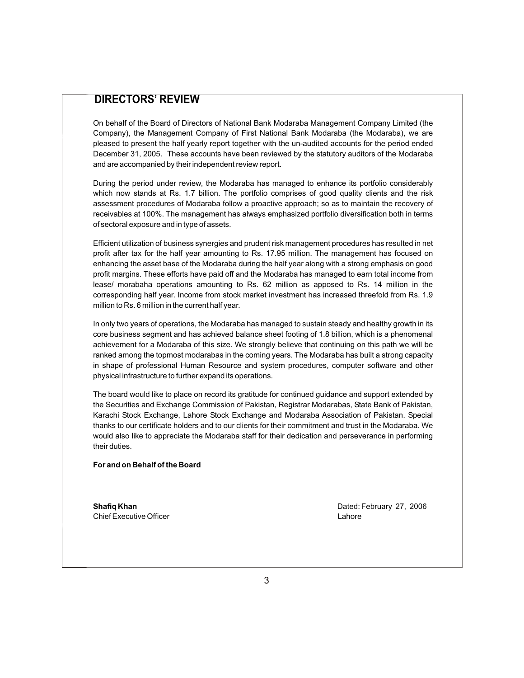## **DIRECTORS' REVIEW**

On behalf of the Board of Directors of National Bank Modaraba Management Company Limited (the Company), the Management Company of First National Bank Modaraba (the Modaraba), we are pleased to present the half yearly report together with the un-audited accounts for the period ended December 31, 2005. These accounts have been reviewed by the statutory auditors of the Modaraba and are accompanied by their independent review report.

During the period under review, the Modaraba has managed to enhance its portfolio considerably which now stands at Rs. 1.7 billion. The portfolio comprises of good quality clients and the risk assessment procedures of Modaraba follow a proactive approach; so as to maintain the recovery of receivables at 100%. The management has always emphasized portfolio diversification both in terms of sectoral exposure and in type of assets.

Efficient utilization of business synergies and prudent risk management procedures has resulted in net profit after tax for the half year amounting to Rs. 17.95 million. The management has focused on enhancing the asset base of the Modaraba during the half year along with a strong emphasis on good profit margins. These efforts have paid off and the Modaraba has managed to earn total income from lease/ morabaha operations amounting to Rs. 62 million as apposed to Rs. 14 million in the corresponding half year. Income from stock market investment has increased threefold from Rs. 1.9 million to Rs. 6 million in the current half year.

In only two years of operations, the Modaraba has managed to sustain steady and healthy growth in its core business segment and has achieved balance sheet footing of 1.8 billion, which is a phenomenal achievement for a Modaraba of this size. We strongly believe that continuing on this path we will be ranked among the topmost modarabas in the coming years. The Modaraba has built a strong capacity in shape of professional Human Resource and system procedures, computer software and other physical infrastructure to further expand its operations.

The board would like to place on record its gratitude for continued guidance and support extended by the Securities and Exchange Commission of Pakistan, Registrar Modarabas, State Bank of Pakistan, Karachi Stock Exchange, Lahore Stock Exchange and Modaraba Association of Pakistan. Special thanks to our certificate holders and to our clients for their commitment and trust in the Modaraba. We would also like to appreciate the Modaraba staff for their dedication and perseverance in performing their duties.

#### **For and on Behalf of the Board**

Chief Executive Officer **Lahore** Lahore

**Shafiq Khan Dated: February 27, 2006 Dated: February 27, 2006**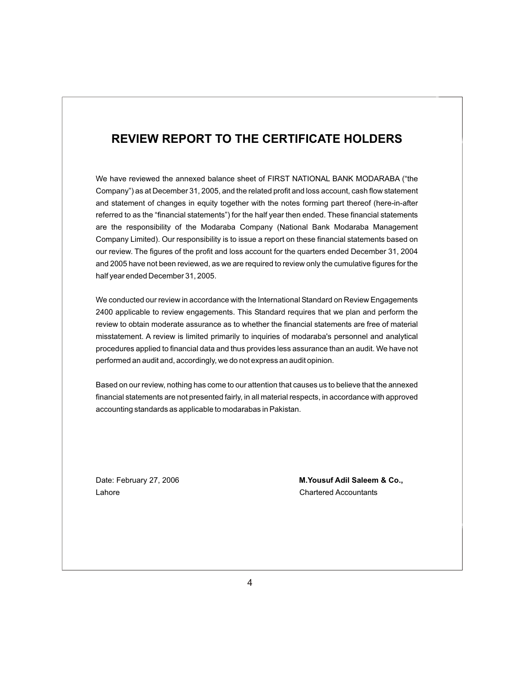## **REVIEW REPORT TO THE CERTIFICATE HOLDERS**

Internal Bank Many Terms and the profit and loss account for the quarters ended December 31, 2004<br>and 2005 have not been reviewed, as we are required to review only the cumulative figures for the<br>half vear ended December 3  $1,2005$ half year ended December 31, 2005.<br>. We have reviewed the annexed balance sheet of FIRST NATIONAL BANK MODARABA ("the Company") as at December 31, 2005, and the related profit and loss account, cash flow statement and statement of changes in equity together with the notes forming part thereof (here-in-after referred to as the "financial statements") for the half year then ended. These financial statements are the responsibility of the Modaraba Company (National Bank Modaraba Management Company Limited). Our responsibility is to issue a report on these financial statements based on our review. The figures of the profit and loss account for the quarters ended December 31, 2004

procedures applied to financial data and thus provides less assurance th<br>performed an audit and, accordingly, we do not express an audit opinion. procedures applied to financial data and thus provides less assurance than an audit. We have not we conducted our review in accordance with the International Standard on Review Engagements<br>2400 applicable to review engagements. This Standard requires that we also and perform the 2400 applicable to review engagements. This Standard requires that we plan and perform the review to obtain moderate assurance as to whether the financial statements are free of material misstatement. A review is limited primarily to inquiries of modaraba's personnel and analytical

Based on our review, nothing has come to our attention that causes us to believe that the annexed based on our review, nothing has come to our attention that causes us to believe that the annexed<br>financial statements are not presented fairly, in all material respects, in accordance with approved<br>accounting standards as maholar statements are not presented rainy, in all material respectively.

Lahore Chartered Accountants

Date: February 27, 2006 **M.Yousuf Adil Saleem & Co.,**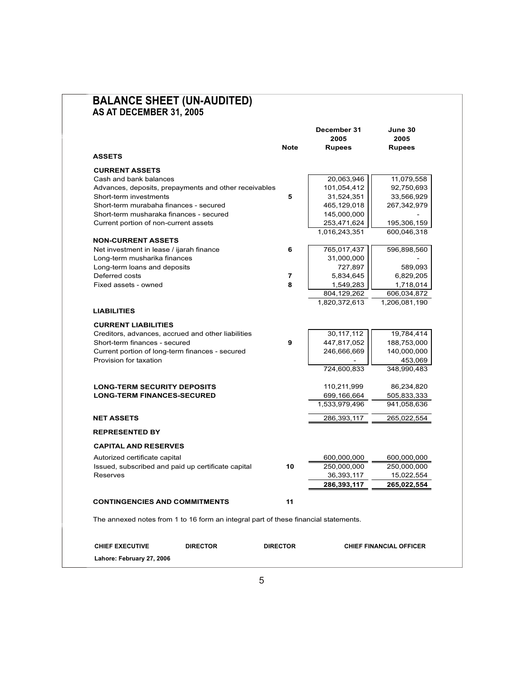|                                                                                     | Note            | December 31<br>2005<br><b>Rupees</b> | June 30<br>2005<br><b>Rupees</b> |
|-------------------------------------------------------------------------------------|-----------------|--------------------------------------|----------------------------------|
| <b>ASSETS</b>                                                                       |                 |                                      |                                  |
| <b>CURRENT ASSETS</b>                                                               |                 |                                      |                                  |
| Cash and bank balances                                                              |                 | 20,063,946                           | 11,079,558                       |
| Advances, deposits, prepayments and other receivables                               |                 | 101,054,412                          | 92,750,693                       |
| Short-term investments                                                              | 5               | 31,524,351                           | 33,566,929                       |
| Short-term murabaha finances - secured                                              |                 | 465,129,018                          | 267,342,979                      |
| Short-term musharaka finances - secured                                             |                 | 145,000,000                          |                                  |
| Current portion of non-current assets                                               |                 | 253,471,624                          | 195,306,159                      |
|                                                                                     |                 | 1,016,243,351                        | 600,046,318                      |
| <b>NON-CURRENT ASSETS</b><br>Net investment in lease / ijarah finance               | 6               | 765,017,437                          | 596,898,560                      |
| Long-term musharika finances                                                        |                 | 31,000,000                           |                                  |
| Long-term loans and deposits                                                        |                 | 727,897                              | 589,093                          |
| Deferred costs                                                                      | 7               | 5,834,645                            | 6,829,205                        |
| Fixed assets - owned                                                                | 8               | 1,549,283                            | 1,718,014                        |
|                                                                                     |                 | 804,129,262                          | 606,034,872                      |
| <b>LIABILITIES</b>                                                                  |                 | 1,820,372,613                        | 1,206,081,190                    |
|                                                                                     |                 |                                      |                                  |
| <b>CURRENT LIABILITIES</b>                                                          |                 |                                      |                                  |
| Creditors, advances, accrued and other liabilities                                  | 9               | 30,117,112                           | 19,784,414                       |
| Short-term finances - secured<br>Current portion of long-term finances - secured    |                 | 447,817,052<br>246,666,669           | 188,753,000<br>140,000,000       |
| Provision for taxation                                                              |                 |                                      | 453,069                          |
|                                                                                     |                 | 724,600,833                          | 348,990,483                      |
| <b>LONG-TERM SECURITY DEPOSITS</b>                                                  |                 | 110,211,999                          | 86,234,820                       |
| <b>LONG-TERM FINANCES-SECURED</b>                                                   |                 | 699,166,664                          | 505,833,333                      |
|                                                                                     |                 | 1,533,979,496                        | 941,058,636                      |
| <b>NET ASSETS</b>                                                                   |                 | 286,393,117                          | 265,022,554                      |
| <b>REPRESENTED BY</b>                                                               |                 |                                      |                                  |
| <b>CAPITAL AND RESERVES</b>                                                         |                 |                                      |                                  |
| Autorized certificate capital                                                       |                 | 600,000,000                          | 600,000,000                      |
| Issued, subscribed and paid up certificate capital                                  | 10              | 250.000.000                          | 250,000,000                      |
| Reserves                                                                            |                 | 36,393,117                           | 15,022,554                       |
|                                                                                     |                 | 286,393,117                          | 265,022,554                      |
| <b>CONTINGENCIES AND COMMITMENTS</b>                                                | 11              |                                      |                                  |
| The annexed notes from 1 to 16 form an integral part of these financial statements. |                 |                                      |                                  |
|                                                                                     |                 |                                      |                                  |
| <b>CHIEF EXECUTIVE</b><br><b>DIRECTOR</b>                                           | <b>DIRECTOR</b> |                                      | <b>CHIEF FINANCIAL OFFICER</b>   |

# **BALANCE SHEET (UN-AUDITED)**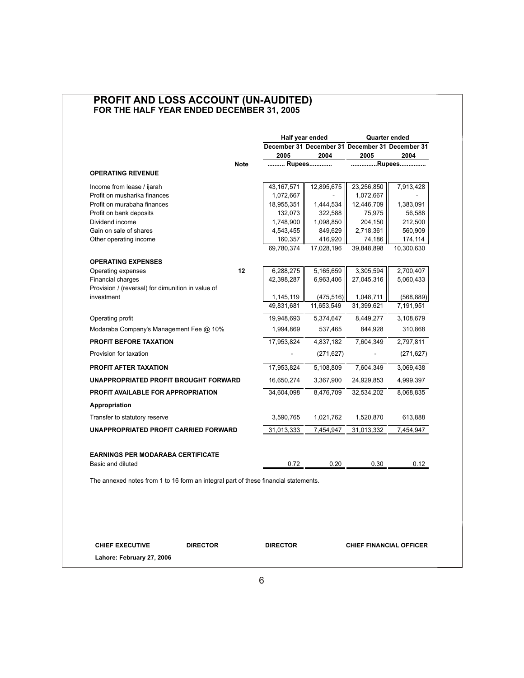### **PROFIT AND LOSS ACCOUNT (UN-AUDITED) FOR THE HALF YEAR ENDED DECEMBER 31, 2005**

|                                                                                     |                         | Half year ended          |                                                 | <b>Quarter ended</b>    |  |
|-------------------------------------------------------------------------------------|-------------------------|--------------------------|-------------------------------------------------|-------------------------|--|
|                                                                                     |                         |                          | December 31 December 31 December 31 December 31 |                         |  |
|                                                                                     | 2005                    | 2004                     | 2005                                            | 2004                    |  |
| <b>Note</b>                                                                         | Rupees                  |                          |                                                 | Rupees                  |  |
| <b>OPERATING REVENUE</b>                                                            |                         |                          |                                                 |                         |  |
| Income from lease / ijarah                                                          | 43,167,571              | 12,895,675               | 23,256,850                                      | 7,913,428               |  |
| Profit on musharika finances                                                        | 1,072,667               |                          | 1,072,667                                       |                         |  |
| Profit on murabaha finances                                                         | 18,955,351              | 1,444,534                | 12,446,709                                      | 1,383,091               |  |
| Profit on bank deposits                                                             | 132,073                 | 322,588                  | 75,975                                          | 56,588                  |  |
| Dividend income                                                                     | 1,748,900               | 1,098,850                | 204,150                                         | 212,500                 |  |
| Gain on sale of shares                                                              | 4,543,455               | 849,629                  | 2,718,361                                       | 560,909                 |  |
| Other operating income                                                              | 160,357<br>69.780.374   | 416,920<br>17,028,196    | 74,186<br>39,848,898                            | 174,114<br>10,300,630   |  |
|                                                                                     |                         |                          |                                                 |                         |  |
| <b>OPERATING EXPENSES</b>                                                           |                         |                          |                                                 |                         |  |
| 12<br>Operating expenses                                                            | 6,288,275               | 5,165,659                | 3,305,594                                       | 2,700,407               |  |
| <b>Financial charges</b>                                                            | 42,398,287              | 6,963,406                | 27,045,316                                      | 5,060,433               |  |
| Provision / (reversal) for dimunition in value of<br>investment                     |                         |                          |                                                 |                         |  |
|                                                                                     | 1,145,119<br>49,831,681 | (475, 516)<br>11,653,549 | 1,048,711<br>31,399,621                         | (568, 889)<br>7,191,951 |  |
|                                                                                     |                         |                          |                                                 |                         |  |
| Operating profit                                                                    | 19,948,693              | 5,374,647                | 8,449,277                                       | 3,108,679               |  |
| Modaraba Company's Management Fee @ 10%                                             | 1,994,869               | 537,465                  | 844,928                                         | 310,868                 |  |
| <b>PROFIT BEFORE TAXATION</b>                                                       | 17,953,824              | 4,837,182                | 7,604,349                                       | 2,797,811               |  |
| Provision for taxation                                                              |                         | (271, 627)               |                                                 | (271, 627)              |  |
| <b>PROFIT AFTER TAXATION</b>                                                        | 17,953,824              | 5,108,809                | 7,604,349                                       | 3,069,438               |  |
| UNAPPROPRIATED PROFIT BROUGHT FORWARD                                               | 16,650,274              | 3,367,900                | 24,929,853                                      | 4,999,397               |  |
| PROFIT AVAILABLE FOR APPROPRIATION                                                  | 34,604,098              | 8,476,709                | 32,534,202                                      | 8,068,835               |  |
| Appropriation                                                                       |                         |                          |                                                 |                         |  |
| Transfer to statutory reserve                                                       | 3,590,765               | 1,021,762                | 1,520,870                                       | 613,888                 |  |
| UNAPPROPRIATED PROFIT CARRIED FORWARD                                               | 31,013,333              | 7,454,947                | 31,013,332                                      | 7,454,947               |  |
|                                                                                     |                         |                          |                                                 |                         |  |
| <b>EARNINGS PER MODARABA CERTIFICATE</b>                                            |                         |                          |                                                 |                         |  |
| Basic and diluted                                                                   | 0.72                    | 0.20                     | 0.30                                            | 0.12                    |  |
|                                                                                     |                         |                          |                                                 |                         |  |
| The annexed notes from 1 to 16 form an integral part of these financial statements. |                         |                          |                                                 |                         |  |
|                                                                                     |                         |                          |                                                 |                         |  |
|                                                                                     |                         |                          |                                                 |                         |  |
|                                                                                     |                         |                          |                                                 |                         |  |
|                                                                                     |                         |                          |                                                 |                         |  |
|                                                                                     |                         |                          |                                                 |                         |  |

**CHIEF EXECUTIVE DIRECTOR DIRECTOR CHIEF FINANCIAL OFFICER**

**Lahore: February 27, 2006**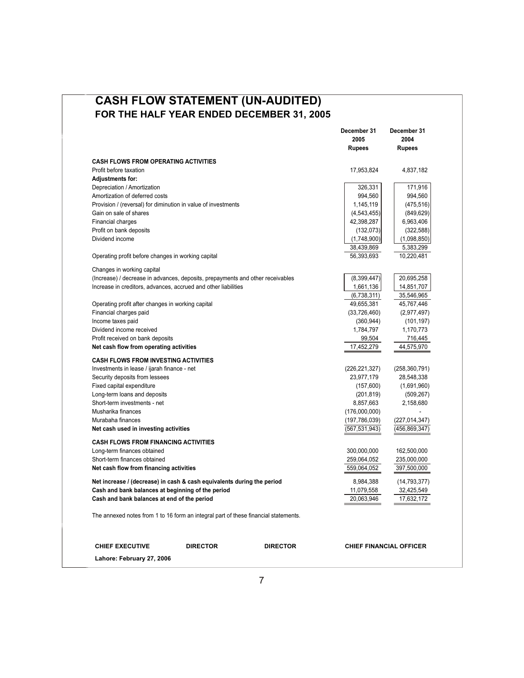## **CASH FLOW STATEMENT (UN-AUDITED) FOR THE HALF YEAR ENDED DECEMBER 31, 2005**

|                                                                                     |                 |                 | December 31<br>2005      | December 31<br>2004            |
|-------------------------------------------------------------------------------------|-----------------|-----------------|--------------------------|--------------------------------|
|                                                                                     |                 |                 | <b>Rupees</b>            | <b>Rupees</b>                  |
| <b>CASH FLOWS FROM OPERATING ACTIVITIES</b>                                         |                 |                 |                          |                                |
| Profit before taxation                                                              |                 |                 | 17,953,824               | 4,837,182                      |
| <b>Adjustments for:</b>                                                             |                 |                 |                          |                                |
| Depreciation / Amortization                                                         |                 |                 | 326,331                  | 171,916                        |
| Amortization of deferred costs                                                      |                 |                 | 994,560                  | 994,560                        |
| Provision / (reversal) for diminution in value of investments                       |                 |                 | 1,145,119                | (475, 516)                     |
| Gain on sale of shares                                                              |                 |                 | (4, 543, 455)            | (849, 629)                     |
| <b>Financial charges</b>                                                            |                 |                 | 42,398,287               | 6,963,406                      |
| Profit on bank deposits                                                             |                 |                 | (132,073)                | (322, 588)                     |
| Dividend income                                                                     |                 |                 | (1,748,900)              | (1,098,850)                    |
|                                                                                     |                 |                 | 38,439,869               | 5,383,299                      |
| Operating profit before changes in working capital                                  |                 |                 | 56,393,693               | 10,220,481                     |
|                                                                                     |                 |                 |                          |                                |
| Changes in working capital                                                          |                 |                 |                          |                                |
| (Increase) / decrease in advances, deposits, prepayments and other receivables      |                 |                 | (8,399,447)              | 20,695,258                     |
| Increase in creditors, advances, accrued and other liabilities                      |                 |                 | 1,661,136                | 14,851,707                     |
|                                                                                     |                 |                 | (6,738,311)              | 35,546,965                     |
| Operating profit after changes in working capital                                   |                 |                 | 49,655,381               | 45,767,446                     |
| Financial charges paid                                                              |                 |                 | (33,726,460)             | (2,977,497)                    |
| Income taxes paid                                                                   |                 |                 | (360, 944)               | (101, 197)                     |
| Dividend income received                                                            |                 |                 | 1,784,797                | 1,170,773                      |
| Profit received on bank deposits                                                    |                 |                 | 99,504                   | 716,445                        |
| Net cash flow from operating activities                                             |                 |                 | 17,452,279               | 44,575,970                     |
| <b>CASH FLOWS FROM INVESTING ACTIVITIES</b>                                         |                 |                 |                          |                                |
| Investments in lease / ijarah finance - net                                         |                 |                 | (226, 221, 327)          | (258, 360, 791)                |
| Security deposits from lessees                                                      |                 |                 | 23,977,179               | 28,548,338                     |
| Fixed capital expenditure                                                           |                 |                 | (157,600)                | (1,691,960)                    |
| Long-term loans and deposits                                                        |                 |                 | (201, 819)               | (509, 267)                     |
| Short-term investments - net                                                        |                 |                 | 8,857,663                | 2,158,680                      |
| Musharika finances                                                                  |                 |                 | (176,000,000)            |                                |
| Murabaha finances                                                                   |                 |                 | (197, 786, 039)          | (227, 014, 347)                |
| Net cash used in investing activities                                               |                 |                 | (567, 531, 943)          | (456,869,347)                  |
| <b>CASH FLOWS FROM FINANCING ACTIVITIES</b>                                         |                 |                 |                          |                                |
| Long-term finances obtained                                                         |                 |                 | 300,000,000              | 162,500,000                    |
| Short-term finances obtained                                                        |                 |                 | 259,064,052              | 235,000,000                    |
| Net cash flow from financing activities                                             |                 |                 | 559,064,052              | 397,500,000                    |
|                                                                                     |                 |                 |                          |                                |
| Net increase / (decrease) in cash & cash equivalents during the period              |                 |                 | 8,984,388                | (14, 793, 377)                 |
| Cash and bank balances at beginning of the period                                   |                 |                 | 11,079,558<br>20,063,946 | 32,425,549                     |
| Cash and bank balances at end of the period                                         |                 |                 |                          | 17,632,172                     |
| The annexed notes from 1 to 16 form an integral part of these financial statements. |                 |                 |                          |                                |
|                                                                                     |                 |                 |                          |                                |
| <b>CHIEF EXECUTIVE</b>                                                              | <b>DIRECTOR</b> | <b>DIRECTOR</b> |                          | <b>CHIEF FINANCIAL OFFICER</b> |

**Lahore: February 27, 2006**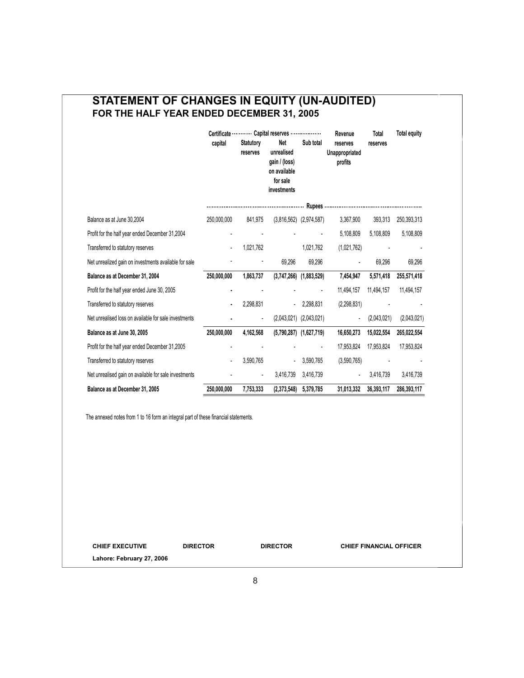## **STATEMENT OF CHANGES IN EQUITY (UN-AUDITED) FOR THE HALF YEAR ENDED DECEMBER 31, 2005**

|                                                       | capital     | <b>Statutory</b><br>reserves | Certificate  Capital reserves<br>Net<br>unrealised       | Sub total                   | Revenue<br>reserves<br>Unappropriated | Total<br>reserves | <b>Total equity</b> |
|-------------------------------------------------------|-------------|------------------------------|----------------------------------------------------------|-----------------------------|---------------------------------------|-------------------|---------------------|
|                                                       |             |                              | gain / (loss)<br>on available<br>for sale<br>investments |                             | profits                               |                   |                     |
|                                                       |             |                              |                                                          |                             |                                       |                   |                     |
| Balance as at June 30,2004                            | 250,000,000 | 841,975                      |                                                          | $(3,816,562)$ $(2,974,587)$ | 3,367,900                             | 393,313           | 250,393,313         |
| Profit for the half year ended December 31,2004       |             |                              |                                                          |                             | 5,108,809                             | 5,108,809         | 5,108,809           |
| Transferred to statutory reserves                     |             | 1,021,762                    |                                                          | 1,021,762                   | (1,021,762)                           |                   |                     |
| Net unrealized gain on investments available for sale |             |                              | 69.296                                                   | 69,296                      |                                       | 69.296            | 69,296              |
| Balance as at December 31, 2004                       | 250,000,000 | 1,863,737                    |                                                          | $(3,747,266)$ $(1,883,529)$ | 7,454,947                             | 5,571,418         | 255,571,418         |
| Profit for the half year ended June 30, 2005          |             |                              |                                                          |                             | 11,494,157                            | 11.494.157        | 11,494,157          |
| Transferred to statutory reserves                     |             | 2,298,831                    |                                                          | $-2,298,831$                | (2,298,831)                           |                   |                     |
| Net unrealised loss on available for sale investments |             | $\blacksquare$               |                                                          | $(2,043,021)$ $(2,043,021)$ | $\blacksquare$                        | (2,043,021)       | (2,043,021)         |
| Balance as at June 30, 2005                           | 250,000,000 | 4,162,568                    |                                                          | $(5,790,287)$ $(1,627,719)$ | 16,650,273                            | 15,022,554        | 265,022,554         |
| Profit for the half year ended December 31,2005       |             |                              |                                                          |                             | 17.953.824                            | 17.953.824        | 17,953,824          |
| Transferred to statutory reserves                     |             | 3,590,765                    |                                                          | 3,590,765                   | (3,590,765)                           |                   |                     |
| Net unrealised gain on available for sale investments |             | $\blacksquare$               | 3,416,739                                                | 3,416,739                   | $\blacksquare$                        | 3,416,739         | 3,416,739           |
| Balance as at December 31, 2005                       | 250,000,000 | 7,753,333                    | (2,373,548)                                              | 5,379,785                   | 31,013,332                            | 36,393,117        | 286,393,117         |

The annexed notes from 1 to 16 form an integral part of these financial statements.

**CHIEF EXECUTIVE DIRECTOR DIRECTOR CHIEF FINANCIAL OFFICER**

**Lahore: February 27, 2006**

8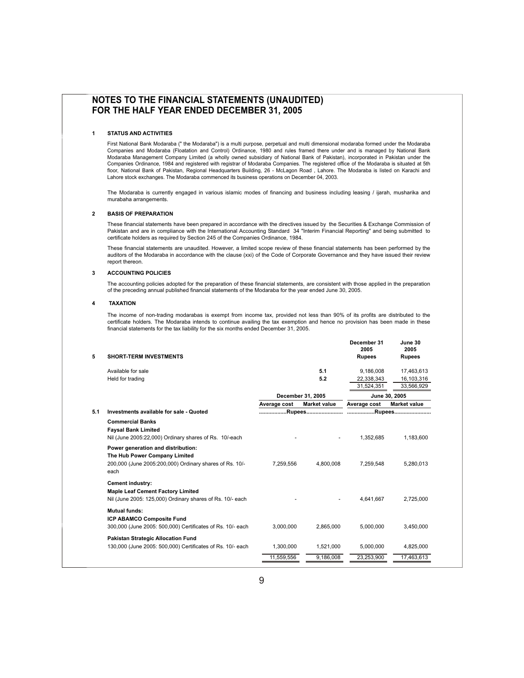#### **NOTES TO THE FINANCIAL STATEMENTS (UNAUDITED) FOR THE HALF YEAR ENDED DECEMBER 31, 2005**

#### **1 STATUS AND ACTIVITIES**

First National Bank Modaraba (" the Modaraba") is a multi purpose, perpetual and multi dimensional modaraba formed under the Modaraba Companies and Modaraba (Floatation and Control) Ordinance, 1980 and rules framed there under and is managed by National Bank Modaraba Management Company Limited (a wholly owned subsidiary of National Bank of Pakistan), incorporated in Pakistan under the Companies Ordinance, 1984 and registered with registrar of Modaraba Companies. The registered office of the Modaraba is situated at 5th floor, National Bank of Pakistan, Regional Headquarters Building, 26 - McLagon Road, Lahore. The Modaraba is listed on Karachi and Lahore stock exchanges. The Modaraba commenced its business operations on December 04, 2003.

The Modaraba is currently engaged in various islamic modes of financing and business including leasing / ijarah, musharika and murabaha arrangements.

#### **2 BASIS OF PREPARATION**

These financial statements have been prepared in accordance with the directives issued by the Securities & Exchange Commission of Pakistan and are in compliance with the International Accounting Standard 34 "Interim Financial Reporting" and being submitted to certificate holders as required by Section 245 of the Companies Ordinance, 1984.

Examples instance is explored by Section 2 to 9. the Sempantes Stamance, itself.<br>These financial statements are unaudited. However, a limited scope review of these financial statements has been performed by the auditors of auditors of the Modaraba in accordance with the clause (xxi) of the Code of Corporate Governance and they have issued their review report thereon.

#### **3 ACCOUNTING POLICIES**

ACCOUNTING POLICIES<br>The accounting policies adopted for the preparation of these financial statements, are consistent with those applied in the preparation The accounting policies adopted for the preparation of these financial statements, are consistent with thos<br>of the preceding annual published financial statements of the Modaraba for the year ended June 30, 2005.

#### **4 TAXATION**

B <sup>I</sup>R The income of non-trading modarabas is exempt from income tax, provided not less than 90% of its profits are distributed to the certificate holders. The Modaraba intends to continue availing the tax exemption and hence no provision has been made in these<br>financial statements for the tax liability for the six months ended December 31, 2005 financial statements for the tax liability for the six months ended December 31, 2005.

|     |                                                                                                                 |              |                     | December 31<br>2005 | June 30<br>2005     |
|-----|-----------------------------------------------------------------------------------------------------------------|--------------|---------------------|---------------------|---------------------|
| 5   | <b>SHORT-TERM INVESTMENTS</b>                                                                                   |              |                     | <b>Rupees</b>       | <b>Rupees</b>       |
|     | Available for sale                                                                                              |              | 5.1                 | 9,186,008           | 17,463,613          |
|     | Held for trading                                                                                                |              | 5.2                 | 22,338,343          | 16,103,316          |
|     |                                                                                                                 |              |                     | 31,524,351          | 33,566,929          |
|     |                                                                                                                 |              | December 31, 2005   |                     | June 30, 2005       |
|     |                                                                                                                 | Average cost | <b>Market value</b> | Average cost        | <b>Market value</b> |
| 5.1 | Investments available for sale - Quoted                                                                         |              |                     |                     |                     |
|     | <b>Commercial Banks</b><br><b>Faysal Bank Limited</b><br>Nil (June 2005:22,000) Ordinary shares of Rs. 10/-each |              |                     | 1.352.685           | 1.183.600           |
|     | Power generation and distribution:                                                                              |              |                     |                     |                     |
|     | The Hub Power Company Limited                                                                                   |              |                     |                     |                     |
|     | 200,000 (June 2005:200,000) Ordinary shares of Rs. 10/-<br>each                                                 | 7,259,556    | 4,800,008           | 7.259.548           | 5,280,013           |
|     | Cement industry:                                                                                                |              |                     |                     |                     |
|     | <b>Maple Leaf Cement Factory Limited</b><br>Nil (June 2005: 125,000) Ordinary shares of Rs. 10/- each           |              |                     | 4.641.667           | 2,725,000           |
|     | <b>Mutual funds:</b><br><b>ICP ABAMCO Composite Fund</b>                                                        |              |                     |                     |                     |
|     | 300,000 (June 2005: 500,000) Certificates of Rs. 10/- each                                                      | 3.000.000    | 2.865.000           | 5.000.000           | 3.450.000           |
|     | Pakistan Strategic Allocation Fund                                                                              |              |                     |                     |                     |
|     | 130,000 (June 2005: 500,000) Certificates of Rs. 10/- each                                                      | 1,300,000    | 1.521.000           | 5.000.000           | 4.825.000           |
|     |                                                                                                                 | 11,559,556   | 9,186,008           | 23,253,900          | 17,463,613          |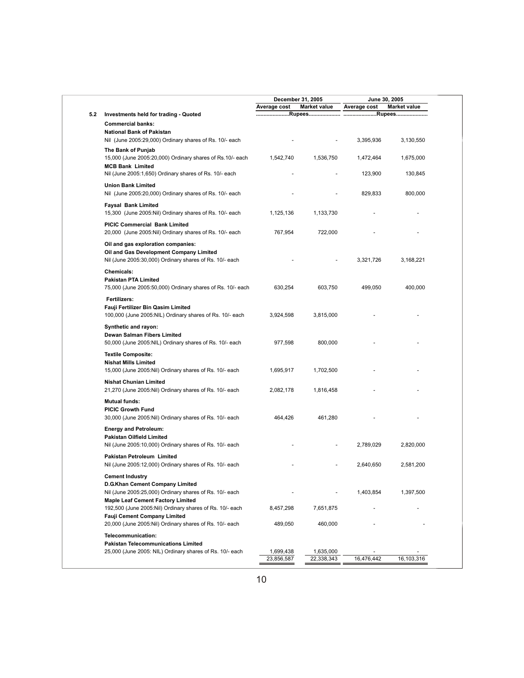|     |                                                                                                                                                            | December 31, 2005    |                      | June 30, 2005 |                     |
|-----|------------------------------------------------------------------------------------------------------------------------------------------------------------|----------------------|----------------------|---------------|---------------------|
|     |                                                                                                                                                            | Average cost         | <b>Market value</b>  | Average cost  | <b>Market value</b> |
| 5.2 | Investments held for trading - Quoted                                                                                                                      |                      |                      |               |                     |
|     | <b>Commercial banks:</b>                                                                                                                                   |                      |                      |               |                     |
|     | <b>National Bank of Pakistan</b><br>Nil (June 2005:29,000) Ordinary shares of Rs. 10/- each                                                                |                      |                      | 3,395,936     | 3,130,550           |
|     | The Bank of Punjab<br>15,000 (June 2005:20,000) Ordinary shares of Rs.10/- each                                                                            | 1,542,740            | 1,536,750            | 1,472,464     | 1,675,000           |
|     | <b>MCB Bank Limited</b><br>Nil (June 2005:1,650) Ordinary shares of Rs. 10/- each                                                                          |                      |                      | 123,900       | 130,845             |
|     | <b>Union Bank Limited</b><br>Nil (June 2005:20,000) Ordinary shares of Rs. 10/- each                                                                       |                      |                      | 829,833       | 800,000             |
|     | <b>Faysal Bank Limited</b><br>15,300 (June 2005: Nil) Ordinary shares of Rs. 10/- each                                                                     | 1,125,136            | 1,133,730            |               |                     |
|     | PICIC Commercial Bank Limited                                                                                                                              | 767,954              | 722,000              |               |                     |
|     | 20,000 (June 2005:Nil) Ordinary shares of Rs. 10/- each                                                                                                    |                      |                      |               |                     |
|     | Oil and gas exploration companies:<br>Oil and Gas Development Company Limited<br>Nil (June 2005:30,000) Ordinary shares of Rs. 10/- each                   |                      |                      | 3,321,726     | 3,168,221           |
|     | Chemicals:<br><b>Pakistan PTA Limited</b>                                                                                                                  |                      |                      |               |                     |
|     | 75,000 (June 2005:50,000) Ordinary shares of Rs. 10/- each                                                                                                 | 630,254              | 603,750              | 499,050       | 400,000             |
|     | Fertilizers:<br>Fauji Fertilizer Bin Qasim Limited<br>100,000 (June 2005:NIL) Ordinary shares of Rs. 10/- each                                             | 3,924,598            | 3,815,000            |               |                     |
|     |                                                                                                                                                            |                      |                      |               |                     |
|     | Synthetic and rayon:<br>Dewan Salman Fibers Limited<br>50,000 (June 2005:NIL) Ordinary shares of Rs. 10/- each                                             | 977,598              | 800,000              |               |                     |
|     | <b>Textile Composite:</b>                                                                                                                                  |                      |                      |               |                     |
|     | <b>Nishat Mills Limited</b>                                                                                                                                |                      |                      |               |                     |
|     | 15,000 (June 2005: Nil) Ordinary shares of Rs. 10/- each                                                                                                   | 1,695,917            | 1,702,500            |               |                     |
|     | <b>Nishat Chunian Limited</b><br>21,270 (June 2005: Nil) Ordinary shares of Rs. 10/- each                                                                  | 2,082,178            | 1,816,458            |               |                     |
|     | <b>Mutual funds:</b>                                                                                                                                       |                      |                      |               |                     |
|     | <b>PICIC Growth Fund</b><br>30,000 (June 2005: Nil) Ordinary shares of Rs. 10/- each                                                                       | 464,426              | 461,280              |               |                     |
|     | <b>Energy and Petroleum:</b>                                                                                                                               |                      |                      |               |                     |
|     | Pakistan Oilfield Limited<br>Nil (June 2005:10,000) Ordinary shares of Rs. 10/- each                                                                       |                      |                      | 2,789,029     | 2,820,000           |
|     | Pakistan Petroleum Limited<br>Nil (June 2005:12,000) Ordinary shares of Rs. 10/- each                                                                      |                      |                      | 2,640,650     | 2,581,200           |
|     | <b>Cement Industry</b>                                                                                                                                     |                      |                      |               |                     |
|     | D.G.Khan Cement Company Limited                                                                                                                            |                      |                      |               |                     |
|     | Nil (June 2005:25,000) Ordinary shares of Rs. 10/- each                                                                                                    |                      |                      | 1,403,854     | 1,397,500           |
|     | <b>Maple Leaf Cement Factory Limited</b>                                                                                                                   |                      |                      |               |                     |
|     | 192,500 (June 2005:Nil) Ordinary shares of Rs. 10/- each<br><b>Fauji Cement Company Limited</b><br>20,000 (June 2005:Nil) Ordinary shares of Rs. 10/- each | 8,457,298<br>489,050 | 7,651,875<br>460,000 |               |                     |
|     |                                                                                                                                                            |                      |                      |               |                     |
|     | Telecommunication:<br><b>Pakistan Telecommunications Limited</b>                                                                                           |                      |                      |               |                     |
|     | 25,000 (June 2005: NIL) Ordinary shares of Rs. 10/- each                                                                                                   | 1,699,438            | 1,635,000            |               |                     |
|     |                                                                                                                                                            | 23,856,587           | 22,338,343           | 16,476,442    | 16,103,316          |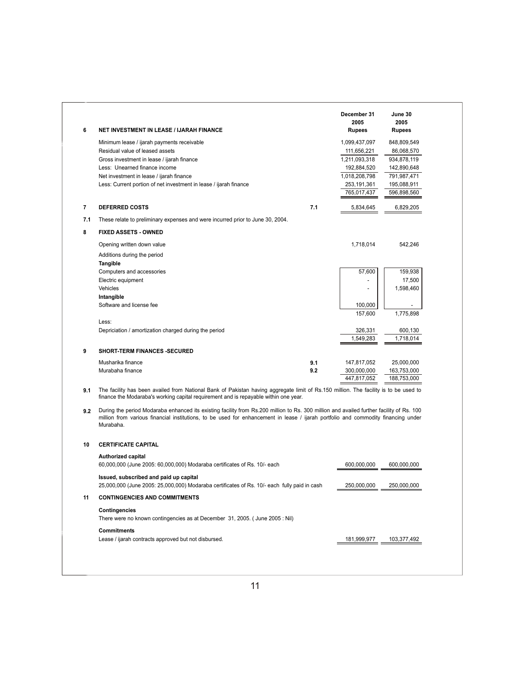| 6              | <b>NET INVESTMENT IN LEASE / IJARAH FINANCE</b>                                                                                                                                                                                                                                            |     | December 31<br>2005<br><b>Rupees</b> | June 30<br>2005<br><b>Rupees</b> |
|----------------|--------------------------------------------------------------------------------------------------------------------------------------------------------------------------------------------------------------------------------------------------------------------------------------------|-----|--------------------------------------|----------------------------------|
|                | Minimum lease / ijarah payments receivable                                                                                                                                                                                                                                                 |     | 1,099,437,097                        | 848,809,549                      |
|                | Residual value of leased assets                                                                                                                                                                                                                                                            |     | 111,656,221                          | 86,068,570                       |
|                | Gross investment in lease / ijarah finance                                                                                                                                                                                                                                                 |     | 1,211,093,318                        | 934,878,119                      |
|                | Less: Unearned finance income                                                                                                                                                                                                                                                              |     | 192,884,520                          | 142,890,648                      |
|                | Net investment in lease / ijarah finance                                                                                                                                                                                                                                                   |     | 1,018,208,798                        | 791,987,471                      |
|                | Less: Current portion of net investment in lease / ijarah finance                                                                                                                                                                                                                          |     | 253,191,361                          | 195,088,911                      |
|                |                                                                                                                                                                                                                                                                                            |     | 765,017,437                          | 596,898,560                      |
| $\overline{7}$ | <b>DEFERRED COSTS</b>                                                                                                                                                                                                                                                                      | 7.1 | 5,834,645                            | 6,829,205                        |
| 7.1            | These relate to preliminary expenses and were incurred prior to June 30, 2004.                                                                                                                                                                                                             |     |                                      |                                  |
| 8              | <b>FIXED ASSETS - OWNED</b>                                                                                                                                                                                                                                                                |     |                                      |                                  |
|                | Opening written down value                                                                                                                                                                                                                                                                 |     | 1,718,014                            | 542,246                          |
|                | Additions during the period                                                                                                                                                                                                                                                                |     |                                      |                                  |
|                | Tangible                                                                                                                                                                                                                                                                                   |     |                                      |                                  |
|                | Computers and accessories                                                                                                                                                                                                                                                                  |     | 57,600                               | 159,938                          |
|                | Electric equipment                                                                                                                                                                                                                                                                         |     |                                      | 17,500                           |
|                | Vehicles                                                                                                                                                                                                                                                                                   |     | $\overline{a}$                       | 1,598,460                        |
|                | Intangible                                                                                                                                                                                                                                                                                 |     |                                      |                                  |
|                | Software and license fee                                                                                                                                                                                                                                                                   |     | 100,000<br>157.600                   | 1,775,898                        |
|                | Less:                                                                                                                                                                                                                                                                                      |     |                                      |                                  |
|                | Depriciation / amortization charged during the period                                                                                                                                                                                                                                      |     | 326,331                              | 600,130                          |
|                |                                                                                                                                                                                                                                                                                            |     | 1,549,283                            | 1,718,014                        |
| 9              | <b>SHORT-TERM FINANCES -SECURED</b>                                                                                                                                                                                                                                                        |     |                                      |                                  |
|                | Musharika finance                                                                                                                                                                                                                                                                          | 9.1 | 147,817,052                          | 25,000,000                       |
|                | Murabaha finance                                                                                                                                                                                                                                                                           | 9.2 | 300,000,000                          | 163,753,000                      |
|                |                                                                                                                                                                                                                                                                                            |     | 447,817,052                          | 188,753,000                      |
| 9.1            | The facility has been availed from National Bank of Pakistan having aggregate limit of Rs.150 million. The facility is to be used to<br>finance the Modaraba's working capital requirement and is repayable within one year.                                                               |     |                                      |                                  |
| 9.2            | During the period Modaraba enhanced its existing facility from Rs.200 million to Rs. 300 million and availed further facility of Rs. 100<br>million from various financial institutions, to be used for enhancement in lease / ijarah portfolio and commodity financing under<br>Murabaha. |     |                                      |                                  |
| 10             | <b>CERTIFICATE CAPITAL</b>                                                                                                                                                                                                                                                                 |     |                                      |                                  |
|                | <b>Authorized capital</b>                                                                                                                                                                                                                                                                  |     |                                      |                                  |
|                | 60,000,000 (June 2005: 60,000,000) Modaraba certificates of Rs. 10/- each                                                                                                                                                                                                                  |     | 600,000,000                          | 600,000,000                      |
|                | Issued, subscribed and paid up capital                                                                                                                                                                                                                                                     |     |                                      |                                  |
|                | 25,000,000 (June 2005: 25,000,000) Modaraba certificates of Rs. 10/- each fully paid in cash                                                                                                                                                                                               |     | 250,000,000                          | 250,000,000                      |

#### **11 CONTINGENCIES AND COMMITMENTS**

#### **Contingencies**

There were no known contingencies as at December 31, 2005. ( June 2005 : Nil)

#### **Commitments**

Lease / ijarah contracts approved but not disbursed. 181,999,977 103,377,492

11